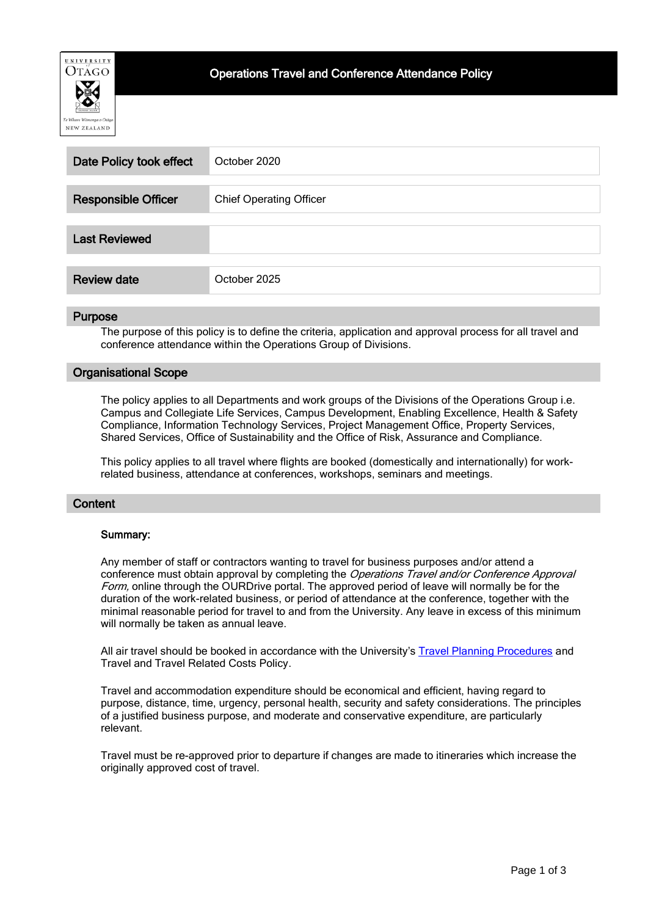

| Date Policy took effect    | October 2020                   |
|----------------------------|--------------------------------|
|                            |                                |
| <b>Responsible Officer</b> | <b>Chief Operating Officer</b> |
|                            |                                |
| <b>Last Reviewed</b>       |                                |
|                            |                                |
| <b>Review date</b>         | October 2025                   |

#### **Purpose**

The purpose of this policy is to define the criteria, application and approval process for all travel and conference attendance within the Operations Group of Divisions.

## Organisational Scope

The policy applies to all Departments and work groups of the Divisions of the Operations Group i.e. Campus and Collegiate Life Services, Campus Development, Enabling Excellence, Health & Safety Compliance, Information Technology Services, Project Management Office, Property Services, Shared Services, Office of Sustainability and the Office of Risk, Assurance and Compliance.

This policy applies to all travel where flights are booked (domestically and internationally) for workrelated business, attendance at conferences, workshops, seminars and meetings.

#### **Content**

#### Summary:

Any member of staff or contractors wanting to travel for business purposes and/or attend a conference must obtain approval by completing the Operations Travel and/or Conference Approval Form, online through the OURDrive portal. The approved period of leave will normally be for the duration of the work-related business, or period of attendance at the conference, together with the minimal reasonable period for travel to and from the University. Any leave in excess of this minimum will normally be taken as annual leave.

All air travel should be booked in accordance with the University's [Travel Planning Procedures](http://www.otago.ac.nz/administration/policies/otago003314.html) and Travel and Travel Related Costs Policy.

Travel and accommodation expenditure should be economical and efficient, having regard to purpose, distance, time, urgency, personal health, security and safety considerations. The principles of a justified business purpose, and moderate and conservative expenditure, are particularly relevant.

Travel must be re-approved prior to departure if changes are made to itineraries which increase the originally approved cost of travel.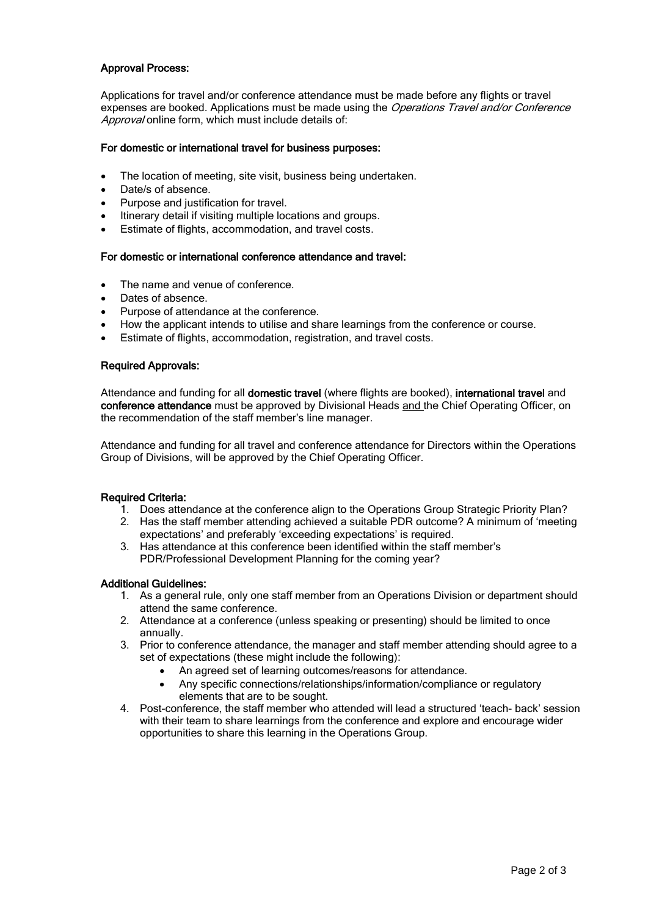## Approval Process:

Applications for travel and/or conference attendance must be made before any flights or travel expenses are booked. Applications must be made using the *Operations Travel and/or Conference* Approval online form, which must include details of:

#### For domestic or international travel for business purposes:

- The location of meeting, site visit, business being undertaken.
- Date/s of absence.
- Purpose and justification for travel.
- Itinerary detail if visiting multiple locations and groups.
- Estimate of flights, accommodation, and travel costs.

#### For domestic or international conference attendance and travel:

- The name and venue of conference.
- Dates of absence.
- Purpose of attendance at the conference.
- How the applicant intends to utilise and share learnings from the conference or course.
- Estimate of flights, accommodation, registration, and travel costs.

#### Required Approvals:

Attendance and funding for all domestic travel (where flights are booked), international travel and conference attendance must be approved by Divisional Heads and the Chief Operating Officer, on the recommendation of the staff member's line manager.

Attendance and funding for all travel and conference attendance for Directors within the Operations Group of Divisions, will be approved by the Chief Operating Officer.

#### Required Criteria:

- 1. Does attendance at the conference align to the Operations Group Strategic Priority Plan?
- 2. Has the staff member attending achieved a suitable PDR outcome? A minimum of 'meeting expectations' and preferably 'exceeding expectations' is required.
- 3. Has attendance at this conference been identified within the staff member's PDR/Professional Development Planning for the coming year?

#### Additional Guidelines:

- 1. As a general rule, only one staff member from an Operations Division or department should attend the same conference.
- 2. Attendance at a conference (unless speaking or presenting) should be limited to once annually.
- 3. Prior to conference attendance, the manager and staff member attending should agree to a set of expectations (these might include the following):
	- An agreed set of learning outcomes/reasons for attendance.
	- Any specific connections/relationships/information/compliance or regulatory elements that are to be sought.
- 4. Post-conference, the staff member who attended will lead a structured 'teach- back' session with their team to share learnings from the conference and explore and encourage wider opportunities to share this learning in the Operations Group.